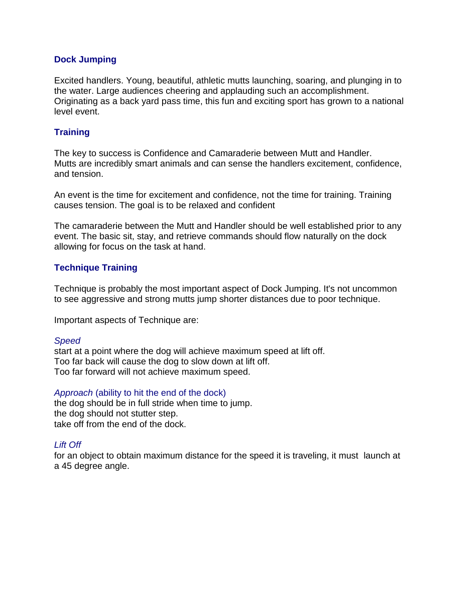## **Dock Jumping**

Excited handlers. Young, beautiful, athletic mutts launching, soaring, and plunging in to the water. Large audiences cheering and applauding such an accomplishment. Originating as a back yard pass time, this fun and exciting sport has grown to a national level event.

# **Training**

The key to success is Confidence and Camaraderie between Mutt and Handler. Mutts are incredibly smart animals and can sense the handlers excitement, confidence, and tension.

An event is the time for excitement and confidence, not the time for training. Training causes tension. The goal is to be relaxed and confident

The camaraderie between the Mutt and Handler should be well established prior to any event. The basic sit, stay, and retrieve commands should flow naturally on the dock allowing for focus on the task at hand.

# **Technique Training**

Technique is probably the most important aspect of Dock Jumping. It's not uncommon to see aggressive and strong mutts jump shorter distances due to poor technique.

Important aspects of Technique are:

#### *Speed*

start at a point where the dog will achieve maximum speed at lift off. Too far back will cause the dog to slow down at lift off. Too far forward will not achieve maximum speed.

#### *Approach* (ability to hit the end of the dock)

the dog should be in full stride when time to jump. the dog should not stutter step. take off from the end of the dock.

# *Lift Off*

for an object to obtain maximum distance for the speed it is traveling, it must launch at a 45 degree angle.